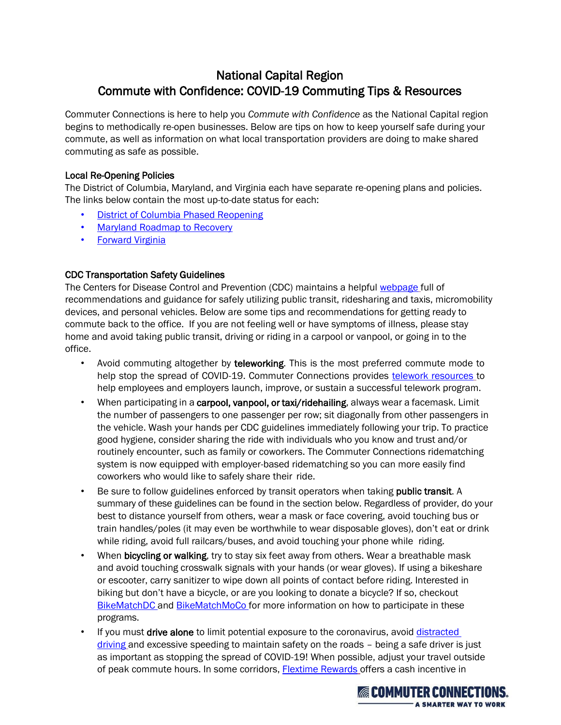# National Capital Region Commute with Confidence: COVID-19 Commuting Tips & Resources

Commuter Connections is here to help you *Commute with Confidence* as the National Capital region begins to methodically re-open businesses. Below are tips on how to keep yourself safe during your commute, as well as information on what local transportation providers are doing to make shared commuting as safe as possible.

## Local Re-Opening Policies

The District of Columbia, Maryland, and Virginia each have separate re-opening plans and policies. The links below contain the most up-to-date status for each:

- **[District of Columbia Phased Reopening](https://coronavirus.dc.gov/)**
- [Maryland Roadmap to Recovery](https://governor.maryland.gov/recovery/)
- [Forward Virginia](https://www.virginia.gov/coronavirus/)

## CDC Transportation Safety Guidelines

The Centers for Disease Control and Prevention (CDC) maintains a helpful [webpage](https://www.cdc.gov/coronavirus/2019-ncov/daily-life-coping/using-transportation.html#all-transportation) full of recommendations and guidance for safely utilizing public transit, ridesharing and taxis, micromobility devices, and personal vehicles. Below are some tips and recommendations for getting ready to commute back to the office. If you are not feeling well or have symptoms of illness, please stay home and avoid taking public transit, driving or riding in a carpool or vanpool, or going in to the office.

- Avoid commuting altogether by teleworking. This is the most preferred commute mode to help stop the spread of COVID-19. Commuter Connections provid[es](https://www.commuterconnections.org/teleworking/) [telework resources](https://www.commuterconnections.org/teleworking/) to help employees and employers launch, improve, or sustain a successful telework program.
- When participating in a carpool, vanpool, or taxi/ridehailing, always wear a facemask. Limit the number of passengers to one passenger per row; sit diagonally from other passengers in the vehicle. Wash your hands per CDC guidelines immediately following your trip. To practice good hygiene, consider sharing the ride with individuals who you know and trust and/or routinely encounter, such as family or coworkers. The Commuter Connections ridematching system is now equipped with employer-based ridematching so you can more easily find coworkers who would like to safely share their ride.
- Be sure to follow guidelines enforced by transit operators when taking **public transit**. A summary of these guidelines can be found in the section below. Regardless of provider, do your best to distance yourself from others, wear a mask or face covering, avoid touching bus or train handles/poles (it may even be worthwhile to wear disposable gloves), don't eat or drink while riding, avoid full railcars/buses, and avoid touching your phone while riding.
- When bicycling or walking, try to stay six feet away from others. Wear a breathable mask and avoid touching crosswalk signals with your hands (or wear gloves). If using a bikeshare or escooter, carry sanitizer to wipe down all points of contact before riding. Interested in biking but don't have a bicycle, or are you looking to donate a bicycle? If so, [checkout](http://wonkpolicy.com/bikematchdc/) [BikeMatchDC](http://wonkpolicy.com/bikematchdc/) and [BikeMatchMoCo](https://www.montgomerycountymd.gov/dot-dir/commuter/bikeshare/bikematch.html) for more information on how to participate in these programs.
- If you must drive alone to limit potential exposure to the coronavirus, avoid distracted [driving](https://www.cdc.gov/motorvehiclesafety/distracted_driving/index.html) and excessive speeding to maintain safety on the roads - being a safe driver is just as important as stopping the spread of COVI[D-19! When possib](https://www.commuterconnections.org/flextime-rewards-program/)le, adjust your travel outside of peak commute hours. In some corridors, [Flextime Rewards](https://www.commuterconnections.org/flextime-rewards-program/) offers a cash incentive in

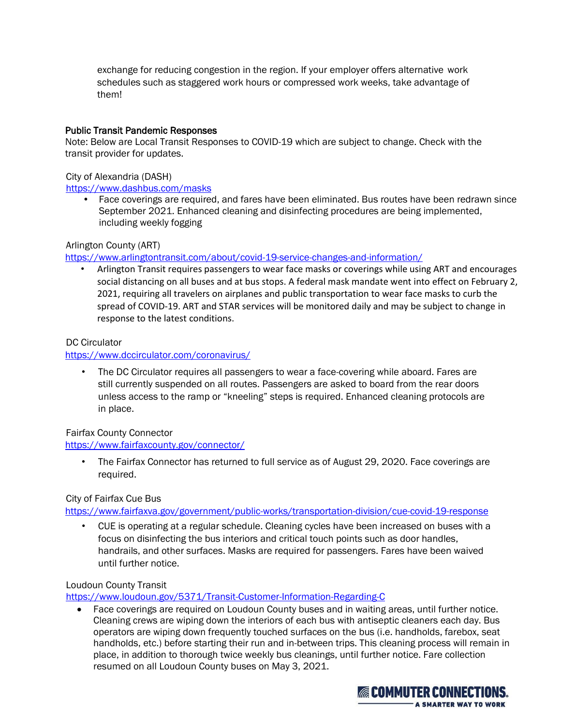exchange for reducing congestion in the region. If your employer offers alternative work schedules such as staggered work hours or compressed work weeks, take advantage of them!

## Public Transit Pandemic Responses

Note: Below are Local Transit Responses to COVID-19 which are subject to change. Check with the transit provider for updates.

## City of Alexandria (DASH)

#### <https://www.dashbus.com/masks>

• Face coverings are required, and fares have been eliminated. Bus routes have been redrawn since September 2021. Enhanced cleaning and disinfecting procedures are being implemented, including weekly fogging

## Arlington County (ART)

<https://www.arlingtontransit.com/about/covid-19-service-changes-and-information/>

• Arlington Transit requires passengers to wear face masks or coverings while using ART and encourages social distancing on all buses and at bus stops. A federal mask mandate went into effect on February 2, 2021, requiring all travelers on airplanes and public transportation to wear face masks to curb the spread of COVID-19. ART and STAR services will be monitored daily and may be subject to change in response to the latest conditions.

## DC Circulator

## <https://www.dccirculator.com/coronavirus/>

• The DC Circulator requires all passengers to wear a face-covering while aboard. Fares are still currently suspended on all routes. Passengers are asked to board from the rear doors unless access to the ramp or "kneeling" steps is required. Enhanced cleaning protocols are in place.

## Fairfax County Connector

## <https://www.fairfaxcounty.gov/connector/>

• The Fairfax Connector has returned to full service as of August 29, 2020. Face coverings are required.

## City of Fairfax Cue Bus

<https://www.fairfaxva.gov/government/public-works/transportation-division/cue-covid-19-response>

• CUE is operating at a regular schedule. Cleaning cycles have been increased on buses with a focus on disinfecting the bus interiors and critical touch points such as door handles, handrails, and other surfaces. Masks are required for passengers. Fares have been waived until further notice.

## Loudoun County Transit

<https://www.loudoun.gov/5371/Transit-Customer-Information-Regarding-C>

• Face coverings are required on Loudoun County buses and in waiting areas, until further notice. Cleaning crews are wiping down the interiors of each bus with antiseptic cleaners each day. Bus operators are wiping down frequently touched surfaces on the bus (i.e. handholds, farebox, seat handholds, etc.) before starting their run and in-between trips. This cleaning process will remain in place, in addition to thorough twice weekly bus cleanings, until further notice. Fare collection resumed on all Loudoun County buses on May 3, 2021.

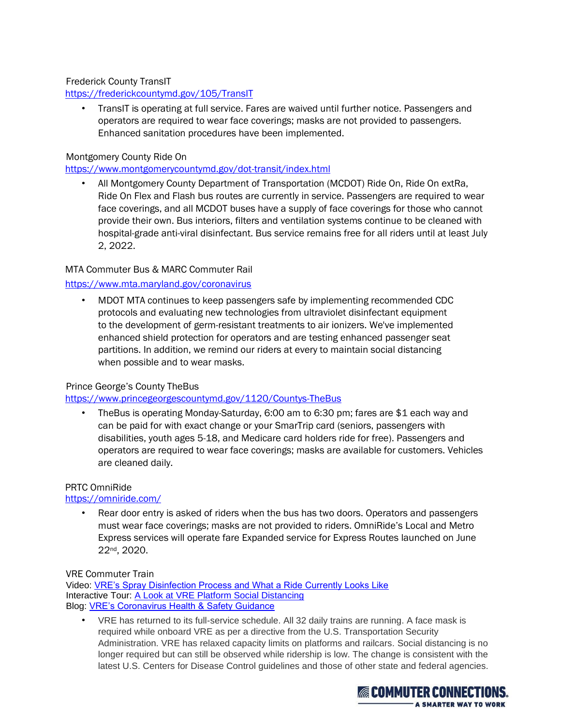Frederick County TransIT

<https://frederickcountymd.gov/105/TransIT>

• TransIT is operating at full service. Fares are waived until further notice. Passengers and operators are required to wear face coverings; masks are not provided to passengers. Enhanced sanitation procedures have been implemented.

## Montgomery County Ride On

<https://www.montgomerycountymd.gov/dot-transit/index.html>

• All Montgomery County Department of Transportation (MCDOT) Ride On, Ride On extRa, Ride On Flex and Flash bus routes are currently in service. Passengers are required to wear face coverings, and all MCDOT buses have a supply of face coverings for those who cannot provide their own. Bus interiors, filters and ventilation systems continue to be cleaned with hospital-grade anti-viral disinfectant. Bus service remains free for all riders until at least July 2, 2022.

## MTA Commuter Bus & MARC Commuter Rail

## <https://www.mta.maryland.gov/coronavirus>

• MDOT MTA continues to keep passengers safe by implementing recommended CDC protocols and evaluating new technologies from ultraviolet disinfectant equipment to the development of germ-resistant treatments to air ionizers. We've implemented enhanced shield protection for operators and are testing enhanced passenger seat partitions. In addition, we remind our riders at every to maintain social distancing when possible and to wear masks.

## Prince George's County TheBus

## <https://www.princegeorgescountymd.gov/1120/Countys-TheBus>

• TheBus is operating Monday-Saturday, 6:00 am to 6:30 pm; fares are \$1 each way and can be paid for with exact change or your SmarTrip card (seniors, passengers with disabilities, youth ages 5-18, and Medicare card holders ride for free). Passengers and operators are required to wear face coverings; masks are available for customers. Vehicles are cleaned daily.

## PRTC OmniRide

## <https://omniride.com/>

• Rear door entry is asked of riders when the bus has two doors. Operators and passengers must wear face coverings; masks are not provided to riders. OmniRide's Local and Metro Express services will operate fare Expanded service for Express Routes launched on June 22nd, 2020.

VRE Commuter Train

Video: [VRE's Spray Disinfection Process and What a Ride Currently Looks Like](https://www.youtube.com/watch?v=zNr10nKSVwk) Interactive Tour: [A Look at VRE Platform Social Distancing](https://www.vre.org/tour/Enhanced%20tour/) Blog: [VRE's Coronavirus Health & Safety Guidance](https://www.vre.org/about/blog/coronavirus-health-safety-guidance-on-vre/)

• VRE has returned to its full-service schedule. All 32 daily trains are running. A face mask is required while onboard VRE as per a directive from the U.S. Transportation Security Administration. VRE has relaxed capacity limits on platforms and railcars. Social distancing is no longer required but can still be observed while ridership is low. The change is consistent with the latest U.S. Centers for Disease Control guidelines and those of other state and federal agencies.